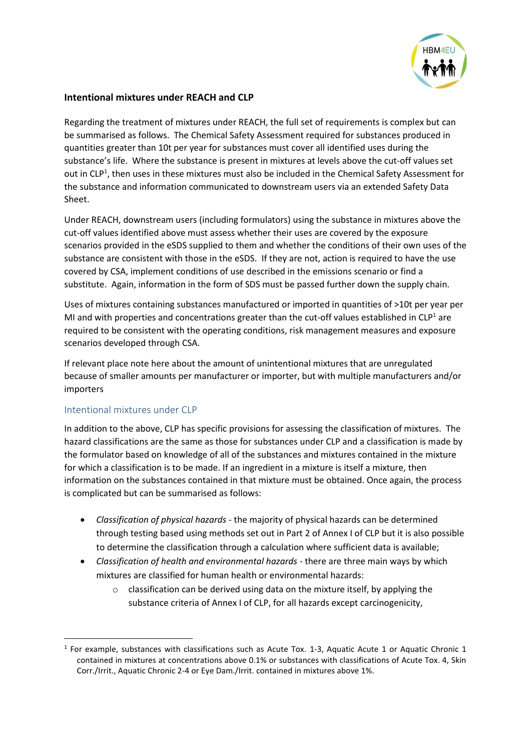

## **Intentional mixtures under REACH and CLP**

Regarding the treatment of mixtures under REACH, the full set of requirements is complex but can be summarised as follows. The Chemical Safety Assessment required for substances produced in quantities greater than 10t per year for substances must cover all identified uses during the substance's life. Where the substance is present in mixtures at levels above the cut-off values set out in CLP<sup>1</sup>, then uses in these mixtures must also be included in the Chemical Safety Assessment for the substance and information communicated to downstream users via an extended Safety Data Sheet.

<span id="page-0-0"></span>Under REACH, downstream users (including formulators) using the substance in mixtures above the cut-off values identified above must assess whether their uses are covered by the exposure scenarios provided in the eSDS supplied to them and whether the conditions of their own uses of the substance are consistent with those in the eSDS. If they are not, action is required to have the use covered by CSA, implement conditions of use described in the emissions scenario or find a substitute. Again, information in the form of SDS must be passed further down the supply chain.

Uses of mixtures containing substances manufactured or imported in quantities of >10t per year per MI and with properties and concentrations greater than the cut-off values established in  $CLP<sup>1</sup>$  $CLP<sup>1</sup>$  $CLP<sup>1</sup>$  are required to be consistent with the operating conditions, risk management measures and exposure scenarios developed through CSA.

If relevant place note here about the amount of unintentional mixtures that are unregulated because of smaller amounts per manufacturer or importer, but with multiple manufacturers and/or importers

## Intentional mixtures under CLP

**.** 

In addition to the above, CLP has specific provisions for assessing the classification of mixtures. The hazard classifications are the same as those for substances under CLP and a classification is made by the formulator based on knowledge of all of the substances and mixtures contained in the mixture for which a classification is to be made. If an ingredient in a mixture is itself a mixture, then information on the substances contained in that mixture must be obtained. Once again, the process is complicated but can be summarised as follows:

- *Classification of physical hazards -* the majority of physical hazards can be determined through testing based using methods set out in Part 2 of Annex I of CLP but it is also possible to determine the classification through a calculation where sufficient data is available;
- *Classification of health and environmental hazards -* there are three main ways by which mixtures are classified for human health or environmental hazards:
	- o classification can be derived using data on the mixture itself, by applying the substance criteria of Annex I of CLP, for all hazards except carcinogenicity,

 $<sup>1</sup>$  For example, substances with classifications such as Acute Tox. 1-3, Aquatic Acute 1 or Aquatic Chronic 1</sup> contained in mixtures at concentrations above 0.1% or substances with classifications of Acute Tox. 4, Skin Corr./Irrit., Aquatic Chronic 2-4 or Eye Dam./Irrit. contained in mixtures above 1%.